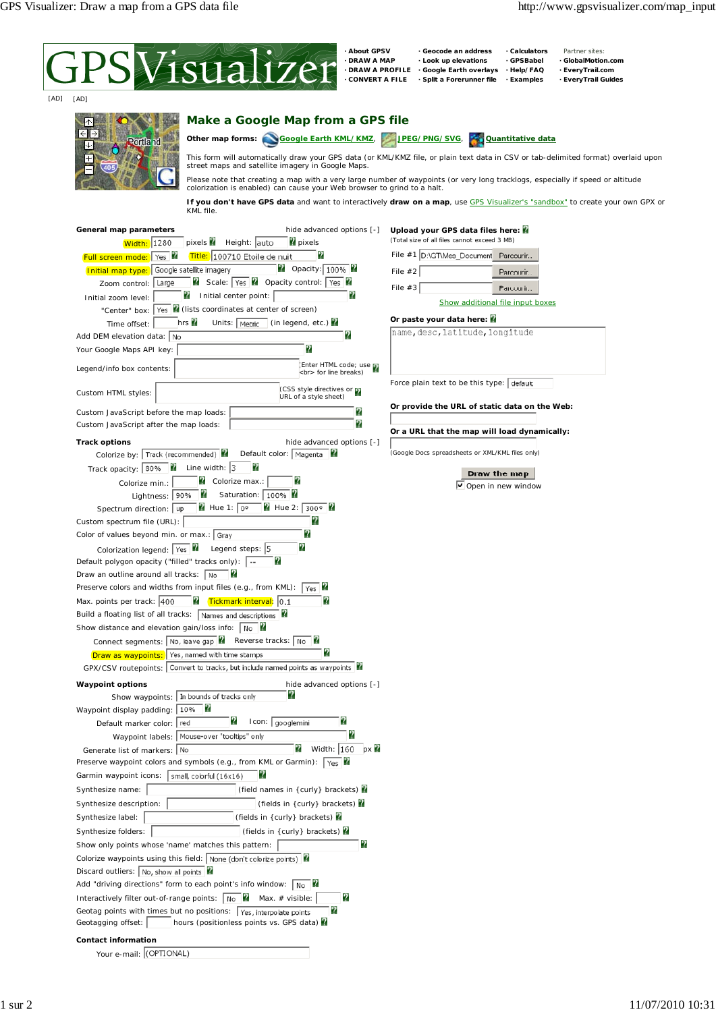